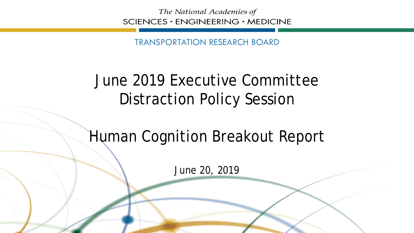The National Academies of SCIENCES · ENGINEERING · MEDICINE

TRANSPORTATION RESEARCH BOARD

## June 2019 Executive Committee Distraction Policy Session

## Human Cognition Breakout Report

June 20, 2019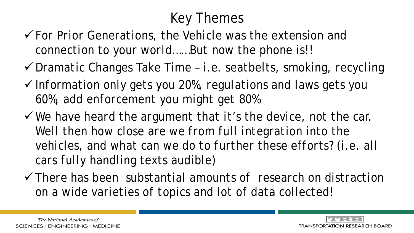## Key Themes

- *For Prior Generations, the Vehicle was the extension and connection to your world……But now the phone is!!*
- *Dramatic Changes Take Time – i.e. seatbelts, smoking, recycling*
- *Information only gets you 20%, regulations and laws gets you 60%, add enforcement you might get 80%*
- *We have heard the argument that it's the device, not the car.*  Well then how close are we from full integration into the *vehicles, and what can we do to further these efforts? (i.e. all cars fully handling texts audible)*
- *There has been substantial amounts of research on distraction on a wide varieties of topics and lot of data collected!*